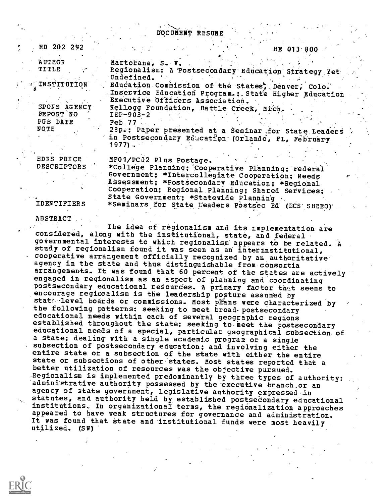DOCUMENT RESUME

. ED 202 292 HE 013.300

AUTHOR Martorana, S. V.

TITLE , Regionalism: A Postsecondary Education Strategy Yet<br>Undefined.<br>INSTITUTION Education Commission of the States Denver, Colo  $\theta$  . The set of  $\theta$ 

Executive Officers Association.<br>SPONS AGENCY Kellogg Foundation. Battle Cree SPONS AGENCY Kellogg Foundation, Battle Creek, Mich.<br>FEPORT NO 1EP-903-2 EEPORT NO IEP-903-2<br>PUB DATE Feb 77 NOTE 28p.; Paper presented at a Seminar for State Leaders

1977).

EDRS PRICE MF01/PC32 Plus Postage.<br>DESCRIPTORS \* \*College Planning: Coop \*College Planning; Cooperative Planning; Federal Government; \*Intercollegiate Cooperation; Needs Assessment; \*Postsecondary Education; \*Regional Cooperation; Regional Planning; Shared Services; State Government; \*Statewide Planning IDENTIFIERS \*Seminars for State Leaders Postsec Ed (ECS SHEEO)

in Postsecondary Education (Orlando, FL, February

Education Commission of the States; Denver, Colo. Inservice Education Program.; State Higher Education

## ABSTRACT

The idea of regionalism and its implementation are considered, along with the institutional, state, and federal governmental interests to which regionalism appears to be related. A study of regionalism found it was seen as an interinstitutional, cooperative arrangement officially recognized by an authoritative agency in the state and thus distinguishable from consortia arrangements. It was found that 60 percent of the states are actively engaged in regionalism as an aspect of planning and coordinating postsecondary educational resources. A primary factor that seems to encourage regionalism is the leadership posture assumed by state level boards or commissions. Most pIans were characterized by the following patterns: seeking to meet broad postsecondary educational needs within each of several geographic regions established throughout the state; seeking to meet the postsecondary educational needs of a special, particular geographical subsection of<br>a state; dealing with a single academic program or a single subsection of postsecondary education; and involving either the entire state or a subsection of the state with either the entire state or subsections of other states. Most states reported that a better utilization of resources was the objective pursued. Regionalism is implemented predominantly by three types of authority: administrative authority possessed by the executive branch or an agency of state government, legislative authority expressed in statutes, and authority held by established postsecondary educational institutions. In organizational terms, the regionalization approaches appeared to have weak structures for governance and administration. It was found that state and institutional funds were most heavily utilized. (SW)

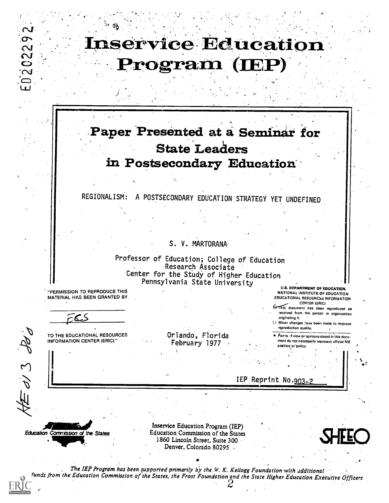

# Paper Presented at a Seminar for State Leaders in Postsecondary Education

REGIONALISM': A POSTSECONDARY EDUCATION STRATEGY YET UNDEFINED

S. V. MARTORANA

Professor of Education; College of Education Research Associate Center for the Study of Higher Education Pennsylvania State University

"PERMISSION TO REPRODUCE THIS MATERIAL HAS BEEN GRANTED BY,

U.S. DEPARTMENT OF EDUCATION NATIONAL INSTITUTE OF EDUCATION EDUCATIONAL RESOURCES INFORMATION

ىم

ED202292

TO THE EDUCATIONAL RESOURCES INFORMATION CENTER (ERIC):"

Orlando, Florida February 1977

CENTER (ERIC)<br>This document has been reproduced as received from the person or organization originating it.

Ll Minor changes Nave been made to improve reproduction quality.

tioir ts clyiew or opinions stated in this docu merit do not necessarily represent official NIE position or policy.

IEP Reprint No.903-2

Education Commission of the States ."9111,

di 3 ded

Inservice Education Program (IEP) Education Commission of the States 1860 Lincoln Street, Suite 300 Action Commission of the States<br>50 Lincoln Street, Suite 300<br>Denver, Colorado 80295



The IEP Progrom has been supported primarily by the W. K. Kellogg Foundation with additional funds from the Education Commission of the States, the Frost Foundation and the State Higher Education Executive Officers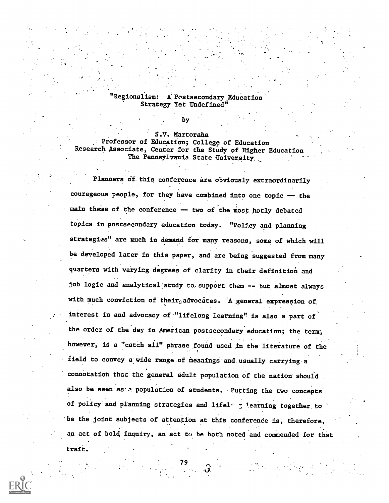#### Regionalism: A Postsecondary Education Strategy Yet Undefined"

S.V. Martorana Professor of Education; College of Education Research Associate, Center for the Study of Higher Education The Pennsylvania State University,

by

Planners o£, this conference are obviously extraordinarily courageous people, for they have combined into one topic -- the main theme of the conference -- two of the most hotly debated topics in postsecondary education today. "Policy and planning strategies" are much in demand for many reasons, some of which will be developed later in this paper, and are being suggested from many quarters with varying degrees of clarity in their definition and job logic and analytical study to support them -- but almost always with much conviction of their $_{\Omega}$ advocates. A general expression of interest in and advocacy of "lifelong learning" is also a part of the order of the day in American postsecondary education; the term; however, is a "catch all" phrase found used in the literature of the field to convey a wide range of meanings and usually carrying a. connotation that the general adult population of the nation should also be seen as a population of students. Putting the two concepts of policy and planning strategies and lifele  $\gamma$  learning together to be the joint subjects of attention at this conference is, therefore, an act of bold inquiry, an act to be both noted and commended for that

79

trait.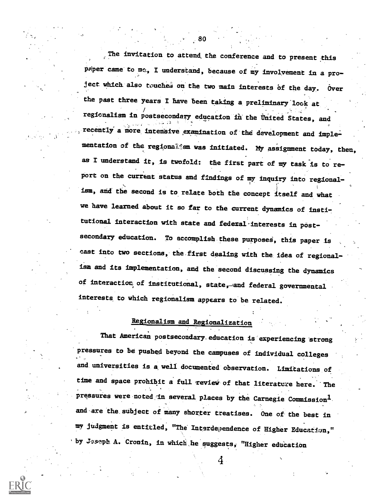The invitation to attend, the conference and to present this paper came to me., I understand, because of my involvement in a project which also touches on the two main interests of the day. Over the past three years I have been taking a preliminary look at regionalism in postsecondary education in the United States, and recently a more intensive examination of the development and implementation of the regiona14sm was initiated. My assignment today, then, as I understand it, is twofold: the first part of my task is to report on the current status and findings of my inquiry into regional- . ism, and the second is to relate both the concept itself and what we have learned about it so far to the current dynamics of institutional interaction with state and federal-interests in postsecondary education. To accomplish these purposes, this paper is cast into two sections, the first dealing with the, idea of regionalism and its implementation, and the second discussing the dynamics of interaction of institutional, state, and federal governmental interests to which regionalism appears to be related.

# Regionalism and Regionalization

That American postsecondary education is experiencing strong pressures to be pushed beyond the campuses of individual colleges and universities is a well documented observation. Limitations of time and space prohibit a full review of that literature here. The pressures were noted in several places by the Carnegie Commission<sup>1</sup>. and are the subject of many shorter treatises. One of the best in my judgment is entitled, "The Interdependence of Higher Education," by Joseph A. Cronin, in which he suggests, "Higher education

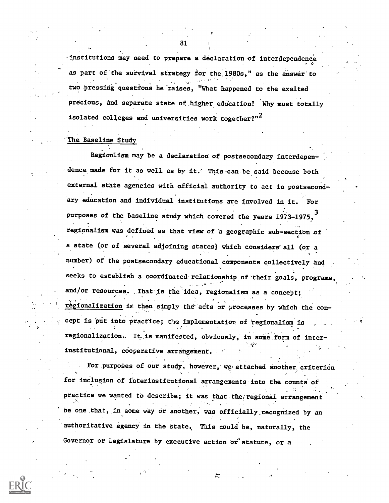institutions may need to prepare a declaration of interdependence as part of the survival strategy for the 1980s," as the answer'to two pressing questions he raises, "What happened to the exalted precious, and separate state of higher education? Why must totally isolated colleges and universities work together?" $^2$ 

#### The Baseline Study

Regionlism may be a declaration of postsecondary interdepen dence made for it as well as by it. This can be said because both external state agencies with official authority to act in postsecondary education and individual institutions are involved in it. For purposes of the baseline study which covered the years 1973-1975. regionalism was defined as that view of a geographic sub-section of a state (or of several adjoining states) which considers all (or a , number) of the postsecondary educational components collectively and seeks to establish a coordinated relationship of their goals, programs, and/or resources. That is the idea, regionalism as a concept; regionalization is then simply the acts or processes by which the concept is put into practice; the implementation of regionalism is regionalization. It is manifested, obviously, in some form of interinstitutional, cooperative arrangement.

For purposes of our study, however, we attached another criterion for inclusion of interinstitutional arrangements into the counts of practice we wanted to describe; it was that the regional arrangement be one.that, in some way or another, was officially, recognized by an authoritative agency in the state. This could be, naturally, the Governor or Legislature by executive action or statute, or a

≿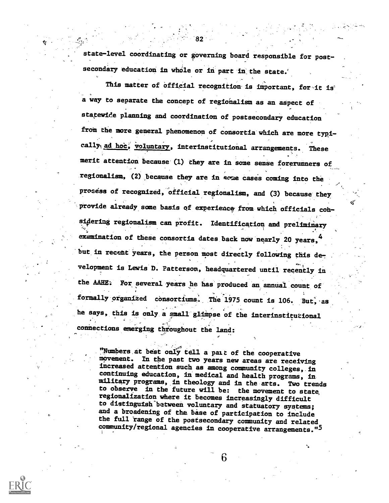state-level coordinating or governing board responsible for postsecondary education in whole or in part in the state.

This matter of official recognition is important, for it is a way to separate the concept of regionalism as an aspect of statewide planning and coordination of postsecondary education from the more general phenomenon of consortia which are more typically<sub>1</sub> ad hoe, voluntary, interinstitutional arrangements. These merit attention because (1) they are in some sense forerunners of regionalism, (2) because they are in some cases coming into the process of recognized, official regionalism, and (3) because they provide already some basis of experience from which officials consi4ering regionalism can profit. Identification and preliminary examination of these consortia dates back now nearly 20 years,  $4$ but in recent years, the person most directly following this development is Lewis D. Patterson, headquartered until recently in the AAHE: For several years he has produced an annual count of formally organized consortiums. The 1975 count is 106. But, as he says, this is only a small glimpse of the interinstitutional connections emerging throughout the land:

"Numbers at best only tell a pait of the cooperative movement. In the past two years new areas are receiving increased attention such as among community colleges, in continuing education, in medical and health programs, in military programs, in theology and in the arts. Two trends to observe in the future will be: the movement to state regionalization where it becomes increasingly difficult to distinguish between voluntary and statuatory systems; and a broadening of the base of participation to include the full "range of the postsecondary community and related community/regional agencies in cooperative arrangements."5

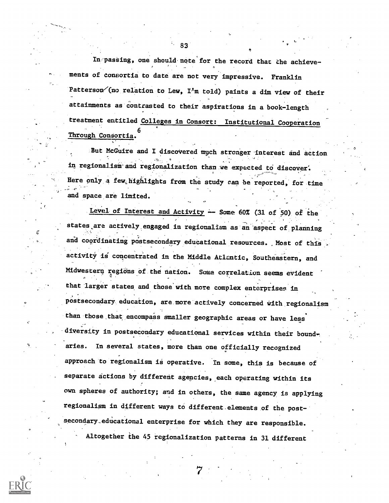In passing, one should note for the record that the achievements of consortia to date are not very impressive. Franklin Patterson $($ no relation to Lew, I'm told) paints a dim view of their attainments as contrasted to their aspirations in a book-length treatment entitled Colleges in Consort: Institutional Cooperation 6 Through Consortia.

But McGuire and I discovered much stronger interest and action -,: in regionalism and regionalization than we expected to discover. Here only a few highlights from the study can be reported, for time and space are limited.

Level of Interest and Activity  $-$  Some 60% (31 of 50) of the states are actively engaged in regionalism as an aspect of planning and coordinating postsecondary educational resources. Most of this activity is concentrated in the Middle Aticntic, Southeastern, and Midwestern regions of the nation. Some correlation seems evident that larger states and those with more complex enterprises in postsecondary education, are more actively concerned with regionalism than those that encompass smaller geographic areas or have legs diversity in postsecondary educational services within their bound-. aries. In several states, more than one officially recognized approach to regionalism is operative. In some, this is because of separate actions by different agencies, each operating within its own spheres of authority; and in others, the same agency is applying regionalism in different ways to different.elements of the post-' secondary.educational enterprise for which they are responsible. Altogether the 45 regionalization patterns in 31 different

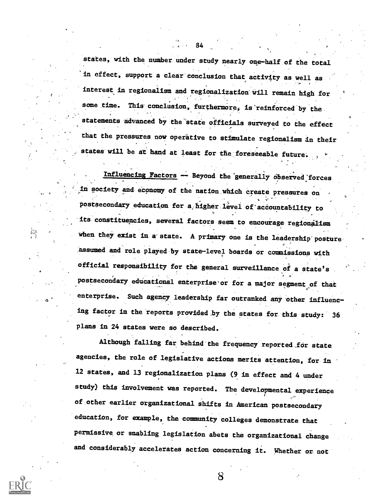states, with the number under study nearly one-half of the total in effect, support a clear conclusion that activity as well as interest in regionalism and regionalization-Will remain high for some time. This conclusion, furthermore, is reinforced by the statements advanced by the state officials surveyed to the effect that the pressures now operative to stimulate regionalism in their states will be at hand at least for the foreseeable future:

84

4

Influencing Factors - Beyond the generally observed forces in society and economy of the nation which create pressures on postsecondary education for a higher level of accountability to its constituencies, several factors seem to encourage regionalism when they exist in a state. A primary one is the leadership posture. assumed and role played by state-level boards or commissions with official responsibility for the general surveillance of a state's postsecondary educational enterprise or for a major segment of that enterprise. Such agency leadership far outranked any other influencing factor in the reports provided hy the states for this study: <sup>36</sup> plans in 24 states were so described.

Although falling far behind the frequency reported for state agencies, the role of legislative actions merits attention, for in 12 states, and 13 regionalization plans (9 in effect and 4 under study) this involvement was reported. The developmental experience of other earlier organizational shifts in American postsecondary education, for example, the community colleges demonstrate that permissive or enabling legislation abets the organizational change and considerably accelerates action concerning it. Whether or not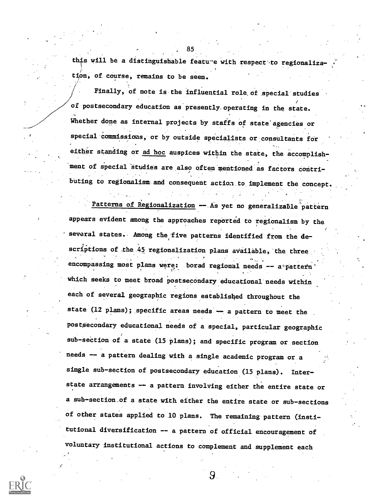this will be a distinguishable feature with respect to regionalization, of. course, remains to be seen.

. 85

Finally, of note is the influential role,of special studies of postsecondary education as presently. operating in the state. Whether done as internal projects by staffs of state agencies or special commissions, or by outside specialists or consultants for either standing or ad hoc auspices within the state, the accomplishment of special studies are also often mentioned as factors contri-, buting to regionalism and consequent action to implement the concept.

Patterns of Regionalization -- As yet no generalizable pattern appears evident among the approaches reported to regionalism by the, several states. Among the five patterns identified from the descriptions of the 45 regionalization plans available, the three >6 encompassing most plans were: borad regional needs  $--$  a° pattern' . which seeks to meet broad postsecondary educational needs within each of several geographic regions established throughout the state (12 plans); specific areas needs  $-$  a pattern to meet the postsecondary educational needs of a special, particular geographic sub-section of a state (15 plans); and specific program or section needs -- a pattern dealing with a single academic program or a single sub-section of postsecondary education (15 plans). Interstate arrangements -- a pattern involving either the entire state or a sub-section\_of a state with either the entire state or sub-sections of other states applied to 10 plans. The remaining pattern (institutional diversification -- a pattern of official encouragement of voluntary institutional actions to complement and supplement each

9.

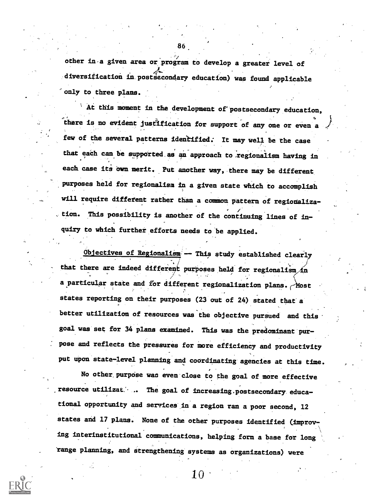other in a given area or program to develop a greater level of diversification in postsecondary education) was found applicable only to three plans.

At this moment in the development of postsecondary education, there is no evident justification for support-of any one or even a few of the several patterns identified: It may well be the case that each can be supported as an approach to regionalism having in each case its own merit. Put another way, there may be different purposes held for regionalism in a given state which to accomplish will require different rather than a common pattern of regionalization. This possibility is another of the continuing lines of inquiry to which further efforts needs to'be applied.

 $Objectives$  of Regionalism  $-$  This study established clearly that there are indeed different purposes held for regionalism  $/n$ a particular state and for different regionalization plans. Most states reporting on their purposes (23 out of 24) stated that a better utilization of resources was the objective pursued and this goal was set for 34 plans examined. This was the predominant'purpose and reflects the pressures for more efficiency and productivity put upon state-level planning and coordinating agencies at this time.

No other. purpose wan even close to the goal of more effective resource utilizat... The goal of increasing.postsecondary educational opportunity and services in a region ran a poor second, 12 states and 17 plans. None of the other purposes identified (improving interinstitutional communications, helping form a base for long 'range planning, and Strengthening systems as organizations) were

86

 $10\,$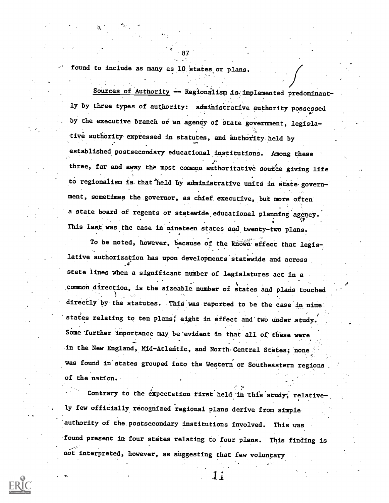found to include as many as 10 states or plans.

Sources of Authority - Regionalism is implemented predominantly by three types of authority: admihistrative authority possessed by the executive branch or an agency of state government, legislative authority expressed in statutes, and authority held by established postsecondary educational institutions. Among these  $\cdot$  6  $\cdot$  6  $\cdot$  6  $\cdot$  6  $\cdot$  6  $\cdot$  6  $\cdot$  6  $\cdot$  6  $\cdot$  6  $\cdot$  6  $\cdot$  6  $\cdot$  6  $\cdot$  6  $\cdot$  6  $\cdot$  6  $\cdot$  6  $\cdot$  6  $\cdot$  6  $\cdot$  6  $\cdot$  6  $\cdot$  6  $\cdot$  6  $\cdot$  6  $\cdot$  6  $\cdot$  6  $\cdot$  6  $\cdot$  6  $\cdot$  6  $\cdot$  6  $\cdot$  6  $\cdot$  6  $\cdot$ three, far and away the most common authoritative source giving life with a control of the control of  $\sim$ to regionalism is that held by administrative units in state governmeat, sometimes the.governor, as chief. executive, but more often a state board of regents or statewide, educational planning agency. This last was the case in nineteen states and twenty-two plans.

4'. 87

To be noted, however, because of the known effect that legislative authorization has upon developments statewide and across., \_4 state lines when a significant number of legislatures act in a <sup>1</sup> common direction, is the sizeable number of states and plais touched directly by the statutes. This was reported to be the case in nine. states relating to ten plans, eight in effect and two under study. Some further importance may be evident in that all of these were in the New England, Mid-Atlantic, and North Central States; none was found in states grouped into the Western or Southeastern regions of the nation..

Contrary to the expectation first held in this study; relative-1y few officially recognized regional plans derive from simple authority of the postsecondary institutions involved. This was found present in four states relating to four plans. This finding is not interpreted, however, as suggesting that few voluntary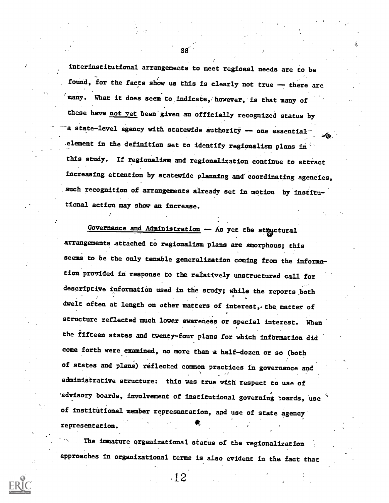interinstitutional arrangements to meet regional needs are to be found, for the facts show us this is clearly not true -- there are many. What it does seem to indicate, however, is that many of these have not yet been given an officially recognized status by a state-level agency with statewide authority  $-$  one essential. .element in the definition set to identify. regionalism plans in'. this study. If regionalism and regionalization continue to attract increasing attention by statewide planning and coordinating agencies, such recognition of arrangements already set in motion by institutional action may show an increase.

Governance and Administration - As yet the steuctural arrangements attached to regionalism plans are amorphous; this seems to be the only tenable generalization coming from the information provided in response to the relatively unstructured call for descriptive information used in the study; while the reports both dwelt often at length on other matters of interest, the matter of structure reflected much lower awareness or special interest. When the fifteen states and twenty-four plans for which information did come forth were examined, no more than a half-dozen or so (both of states and plans) reflected common practices in governance and administrative structure: this was true with respect to use of advisory boards, involvement of institutional governing boards, use of institutional member representation, and use of state agency representation.

. The immature organizational status of the regionalization approaChes in organizational terms is also evident in the fact that

,12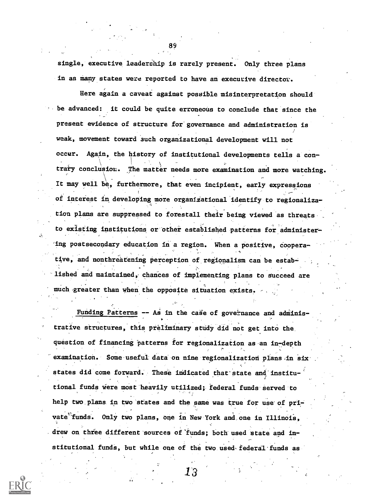single, executive leadership is rarely present. Only three plans in as many states were reported to have an executive director.

Here again a caveat against possible misinterpretation should be advanced: it could be quite erroneous to conclude that since the present evidence of structure for governance and administration is weak, movement toward such organizational development will not occur. Again, the history of institutional developments tells a contrary conclusion. The matter needs more examination and more watching. It may well be, furthermore, that even incipient, early expressions of interest in developing more organizational identify to regionalization plans are suppressed to forestall their being viewed as threats. to existing institutions or other established patterns for administer-'ing postsecondary education in a region. When a positive, Cooperative, and nonthreatening perception of regionalism can be established and maintained, chances of implementing plans to succeed are mudh-greater than when the opposite situation exists.

Funding Patterns -- As in the case of governance and adminis-. trative structures, this preliminary study did not get into the. question of financing patterns for regionalization as an in-depth examination. Some useful data on nine regionalization plans in sixstates did come forward. These indicated that state and institutional funds were most heavily utilized;. federal funds served to help two plans in two states and the same was true for use of private<sup>t</sup>funds. Only two plans, one in New York and one in Illinois, drew on three different sources of funds; both used state and institutional funds, but while one of the two used federal funds as

 $13\,$ 

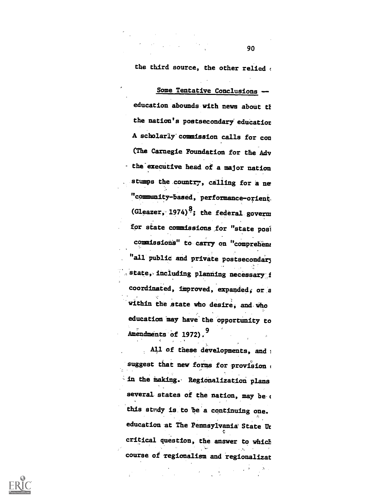the third source, the other relied

Some Tentative Conclusions - education abounds with news about th the nation's postsecondary education A scholarly commission calls for con (The Carnegie Foundation for the Adv the executive head of a major nation stumps the country, calling for a ne "community based, performance-orient, (Gleazer, 1974)<sup>8</sup>; the federal governs for state commissions for "state posi commissions" to carry on "comprehens "all public and private postsecondary state, including planning necessary f coordinated, improved, expanded, or a within the state who desire, and who education may have the opportunity to Amendments of 1972).<sup>9</sup>

All of these developments, and i suggest that new forms for provision in the making. Regionalization plans several states of the nation, may be this stndy is. to be'a continuing one. education at The Pennsylvania State Ur critical question, the answer to which course of zegionalism and regionalizat

 $\frac{1}{2}$ 

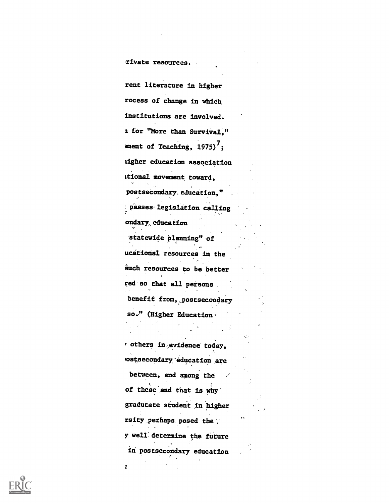Irivate resources.

rent literature in higher rocess of change in which institutions are involved. a for "More than Survival," ment of Teaching,  $1975)^7$ ; iigher education association ktioaal movement toward, postsecondary, education," : passes' legislation calling ondary, education statewide planning" of ucational resources in the such resources to be better red so that all persons benefit from, postsecondary so." (Higher Education r others in,evidence today,  $\Lambda$  and  $\Lambda$ oostsecondary'education are between, and among the of these and that is why , , gradutate student in .higher rsity perhaps posed the  $\ddot$ y well determine the future in postsecondary education

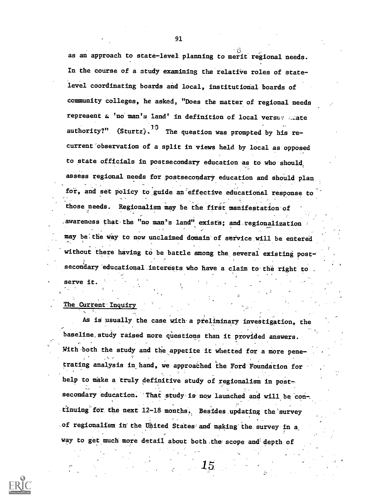as an approach to state-level planning to merit regional needs. In the course of a study examining the relative roles of statelevel coordinating boards and local, institutional boards of community colleges, he asked, "Does the matter of regional needs represent a 'no man's land' in definition of local versus caate authority?" (Sturtz).  $^{1/3}$  The question was prompted by his recurrent observation of a split in views held by local as opposed to state officials in postsecondary education as to mho should assess regional needs for postsecondary education and should plan for, and set policy to\_guide an effective educational response to those needs. Regionalism may be the first manifestation of \_awareness that-the "no man's land" exists; and regionalization may be the way to now unclaimed domain of service will be entered

without there having to be battle among the several existing postsecondary educational interests who have a claim to the right to

#### The Current Inquiry

serve it.

As is usually the case with a preliminary investigation, the baseline\_study raised more questions than it provided answers. With both the study and the appetite it whetted for a more pene-, *r* trating analysis in hand, we approached the Ford Foundation for help to make a truly definitive study of regionalism in postsecondary education. That study is now launched and will be continuing for. the next 12-18. months. Besides. updating the'survey of regionalism in the United States and making the survey in a way to get much more detail about both the scope and depth of

 $15\,$ 



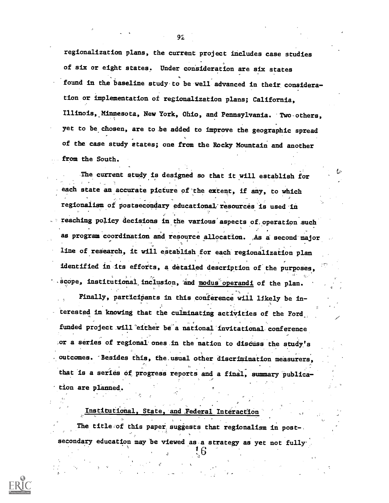regionalization plans, the current project includes case studies of six or eight states. Under consideration are six states found in the baseline study to be well advanced in their consideration or implementation of regionalization plans; California, Illinois, Minnesota, New York, Ohio, and Pennsylvania. Two-others, yet to be chosen, are to.be added to improve the geographic spread of the case study states; one from the Rocky Mountain and another from the South.

The current study is designed so that it will establish for  $\sim$ each state an accurate picture of'the extent, if any, to which regionalism of postsecondary educational resources is used in a reaching policy decisions in the various aspects of operation such as program coordination and resource allocation. As a second major line of research, it will establish for each regionalization plan identified in its efforts, a detailed description of the purposes, scope, institutional inclusion, and modus operandi of the plan.

Finally, participants in this conference will likely be in-. . , . . . terested in knowing that the culminating activities of the Ford the state of the Ford funded project will either be a national invitational conference. or a series of regional ones in the nation to discuss the study's outcomes. Besides this, the usual other discrimination measurers, that is a series of progress reports and a final, summary publica- $\mathcal{P}$  and  $\mathcal{P}$ tion are planned,.

The title of this paper suggests that regionalism in post-. secondary education may be viewed as a strategy as yet not fully.

t.

. . Institutional, State, and Federal InteractIOn'

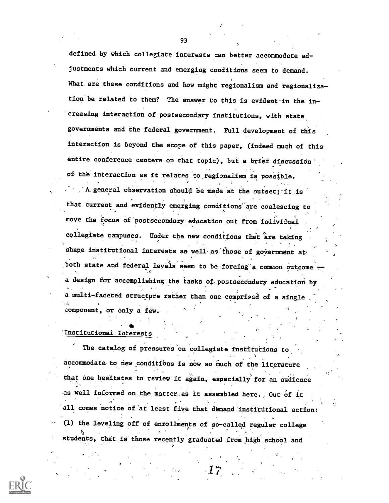defined by which collegiate interests can better accommodate adjustments which current and emerging conditions seem to demand. What are these conditions and how might regionalism and regionalization'be related to them? The answer to this is evident in the in- 'creasing interaction of postsecondary institutions, with state governments and the federal government. Full development of this interaction is beyond the scope of this paper, (indeed much of this entire conference centers on that topic), but a brief discussion of the interaction as it relates to regionalism is possible.

A general observation should be made at the outset; it is that current and evidently emerging conditions' are coalescing to move the focus of postsecondary education out from individual . collegiate campuses. Under the new conditions that are taking shape institutional interests as well as those of government at both state and federal levels seem to be forcing a common outcome a design for accomplishing the tasks of postsecondary education by a multi-faceted structure rather than one comprissd of a single component, or only a few.

#### .\*\* Institutional Interests

The catalog of pressures on collegiate institutions to, accommodate to new conditions is now so much of the literature that one hesitates to review it again, especially for an audience as well informed on.the matter.ae it assembled here,, Out of it all comes notice of'at least five that demand institutional action: (l) the leveling off of enrollments of so-called regular college etudents, that is those recently graduated from high school and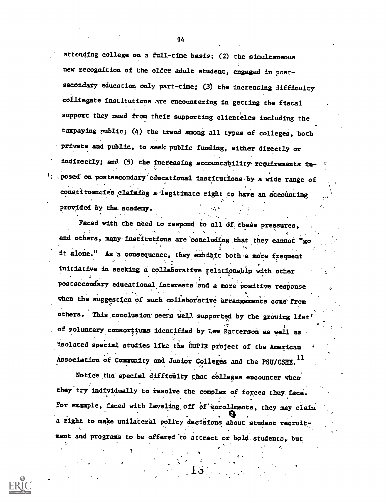attending college on a full-time basis; (2) the simultaneous new recognition of the older adult student, engaged in postsecondary education only part-time; (3) the increasing difficulty colliegate institutions are encountering in getting the-fiscal support they need from their supporting clienteles including the taxpaying public; (4) the trend among all types of colleges, both private and public, to seek public funding, either directly or indirectly; and (5) the increasing accountability requirements im-,posed-on postsecondary'educational institutions,by a wide range of constituencies claiming a legitimate right to have an accounting provided by the academy.

Faced with the need to respond to all of these pressures, and others, many institutions are concluding that they cannot "go. it alone." As a consequence, they exhibit both a more frequent initiative in seeking a collaborative relationship with other postsecondiry educational.interests'and a more'positive response when the suggestion of such collaborative arrangements come from others. This conclusion seers well supported by the growing list' of voluntary consortiums identified by Lew Patterson as well as isolated special studies like the CUPIR project of the American Association of Community and Junior Colleges and the PSU/CSHE.<sup>11</sup>

Notice the special difficulty that colleges encounter when. they try individually to resolve the complex of forces they face. For example, faced with leveling off of enrollments, they may claim a right to make unilateral policy decisions about student recruitment and programs to be offered to attract or hold students, but

13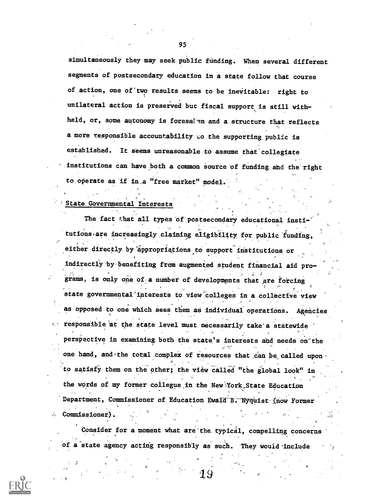simultaneously they may seek public funding. When several different segments of postsecondary education in a state follow that course of action, one of two results seems to be inevitable: right to unilateral action is preserved buc fiscal support is still withheld, or, some autonomy is foresalen and a structure that reflects a more responsible accountability to the supporting public is established. It seems unreasonable to assume that collegiate institutions can have both a common source of funding and the right to operate as if in a "free market" model.

### State Governmental Interests.

The fact that all types of postsecondary educational insti tutions are increasingly claiming eligibility for public funding, either directly by appropriations to support institutions or indirectly by benefiting from augmented student financial aid programs, is only one of a number of developments that are forcing state governmental interests to view colleges in a collective view as opposed to one which sees them as individual operations. Agencies responsible at the state level must. necessarily take'a statewide perspective in examining both the state's interests and needs on the one hand, and the total complex of resources that can be called upon to satisfy them on the other; the view called "the global look" in the words of my former collegue in the New York; State Education Department, Commissioner of Education Ewald B. Nyquist (now Former Commissioner).

Consider for a moment what are the typical, compelling concerns of a state agency acting responsibly as such. They would include

95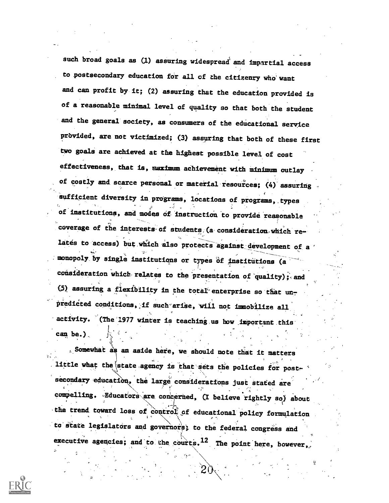such broad goals as (1) assuring widespread and impartial access to postsecondary education for all of the citizenry who want and can profit by it; (2) assuring that the education provided is of a reasonable minimal level of quality so that both the student and the general' society, as consumers of the educational service prbvided, are not victimized; (3) assuring that both of these first two goals are achieved at the highest possible level of cost effectiveness, that is, maximum achievement with minimum outlay of costly and scarce personal or material resources; (4) assuring Sufficient diversity in programs, locations of programs,. types of institutions, and modes Of. instruction to provide reasonable coverage of the interests of students (a consideration which re $+$ lates to access) but which also protects against development of a monopoly by single institutions or types of institutions (a consideration which relates to the presentation of quality); and 0) assuring a flexibility in the total'enterprise so that predicted conditions, if such arise, will not immobilize all activity. (The 1977 winter is teaching us how important this can be.) $<sub>1</sub>$ </sub>

s Somewhat as an aside here, we should note that it matters . Little what the state agency is that sets the policies for post- $\sim$ include what the state agency is that sets the policies for post-<br>secondary education, the large considerations just stated are compelling. Educators are concerned, (I believe rightly so) about the trend toward loss of control of educational policy formulation to state legislators and governors; to the federal congress and executive agencies; and to the courts.<sup>12</sup> The point here, however,

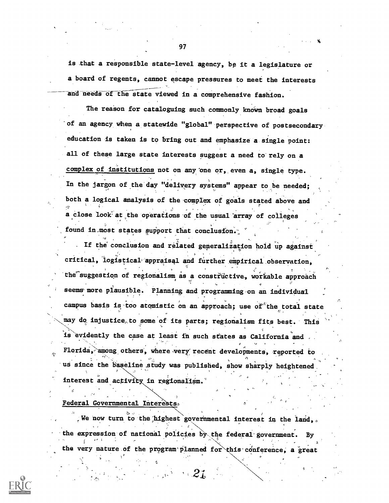is that a responsible state-level agency, be it a legislature or a board of regents, cannot escape pressures to meet the interests and needs of the state viewed in a comprehensive fashion.

**Photo** 

The reason for cataloguing such commonly known broad goals of an agency when a statewide "global" perspective of postsecondary education is taken is to bring out and emphasize' a. single point: all of these large state interests suggest a need to rely on a complex of institutions not on any one or, even a, single type. In the jargon of the day "delivery systems" appear to be needed; both a logical analysis of the complex of goals stated above and a close look at the operations of the usual array of colleges found in most states support that conclusion.

. If the conclusion and related generalisation hold up against critical, logistical appraisal and further empirical observation, critical, logistical appraisal and further empirical observation,<br>the suggestion of regionalism as a constructive, workable approach seems more plausible. Planning and programming on an individual campus basis is too atomistic on an approach; use of the total state . may do injustice to some of its parts; regionalism fits best. This is evidently the case at least in such states as California and. Florida, among others, where very recent developments, reported to us since the baseline study was published, show sharply heightened  $\sigma_{\rm{max}}$ interest and activity in regionalism.

Federal Governmental Intere

We now turn to the highest governmental interest in the land, the expression of national policies by the federal government. the very nature of the program planned for this conference, a great

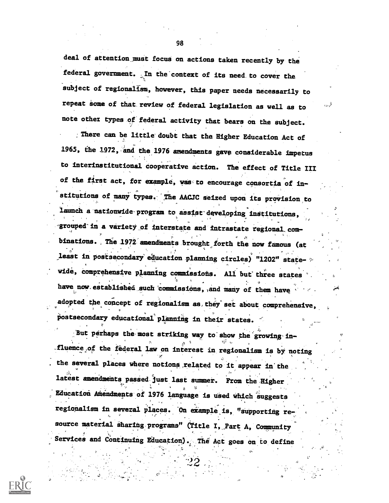deal of attention. must focus on actions taken recently by the federal government. In the context of its need. to cover the subject of regionalism, however, this paper needs necessarily to repeat some of that review of federal legislation as well as to note other types of federal activity that bears on the subject.

:There can be little doubt that the Higher Education Act of 1965, the 1972, and the 1976 amendments gave considerable impetus to interinstitutional cooperative action. The effect of Title III of the first act, for example, was to encourage consortia of institutions of many types. The AACJC seized upon its provision to Launch a nationwide-program to assist developing institutions, grouped in a variety of interstate and intrastate regional combinations. The 1972 amendments brought forth the now famous (at least in postsecondary education planning circles) "1202" statewide, comprehensive planning commissions. All but three states have now established such commissions, and many of them have adopted the concept of regionalism as they set about comprehensive, postsecondary educational planning in their states.

?4,

But perhaps the most striking way to show the growing in-,fluence,of the federal law on interest in regionalism is by noting the several places where notions related to it appear in the latest amendments passed just last summer. From the Higher Education Ahendments of 1976 language is used which suggests regionalism in several places. On example is, "supporting resource material sharing programs" (Title I, Part A, Community Services and Continuing Education). The Act goes on to define

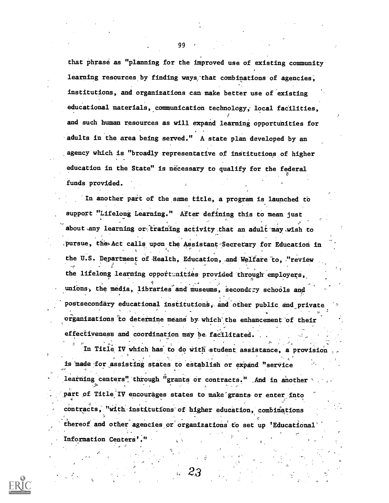that phrase as "planning for the improved use of existing community learning resources by finding ways that combinations of agencies, institutions, and. organizations can make better use of existing educational materials, communication technology, local facilities, and such human resources as will expand learning opportunities for adults in the area being served." A state plan developed by an .agency which is "broadly representative of institutions of higher education in the State" is necessary to qualify for the federal funds provided.

In another part of the same title, a program is launched to . . . support "Lifelong Learning." After defining this to mean just about any learning or training activity that an adult may wish to pursue, the Act calls upon the Assistant Secretary for Education in the U.S. Department of Health, Education, and Welfare to, "review . the lifelong learning opportunities provided through employers, unions, the media, libraries and museums, secondary schools and postsecondary educational institutions, and other public and private organizations to determine means by which the enhancement of their effectiveness and coordination may be facilitated.

.

In Title IV which has to do with student assistance, a provision is made for assisting states to establish or expand "service

learning centers" through "grants or contracts." And in another part of Title IV encourages states to make grants or enter into contracts, "with institutions of higher education, combinations thereof and other agencies or organizations to set up 'Educational Information Centers'."

2,3

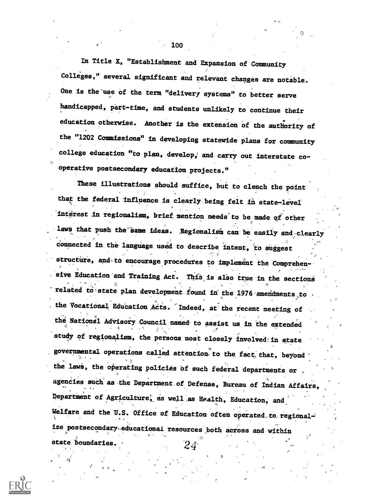In Title X, "Establishment and Expansion of Community Colleges," several significant and relevant changes are notable. One is the'use of the term "delivery systems" to better serve handicapped, part-time, and students unlikely to continue their education otherwise. Another is the extension of the authority of the "1202 Commissions" in developing statewide plans for community college education "to plan, develop, and carry out interstate cooperative postsecondary education projects."

These illustrations should suffice, but to clench the point that the federal influence is clearly being felt in state-level interest in regionalism, brief mention needs to be made of other laws that push the same ideas. Regionalism can be easily and clearly connected in the language used to describe intent, to suggest structure, and to encourage procedures to implement the Comprehen-بالمناسبة ووقف . sive Education and Training Act. This is also true in the sections related to state plan development found in the 1976 amendments to the Vocational Education Acts. Indeed, at the recent meeting of the National Advisory Council named to assist us in the extended study of regionalism, the persons most closely involved; in state governmental operations called attention to the fact that, beyond the laws, the operating policies of such federal departments or agencies such as the Department of Defense, Bureau of Indian Affairs, Department of Agriculture, as well as Health, Education, and Welfare and the U.S. Office of Education often operated to regionalize postsecondary educational resources both across and within c. state boundaries.  $24'$ 

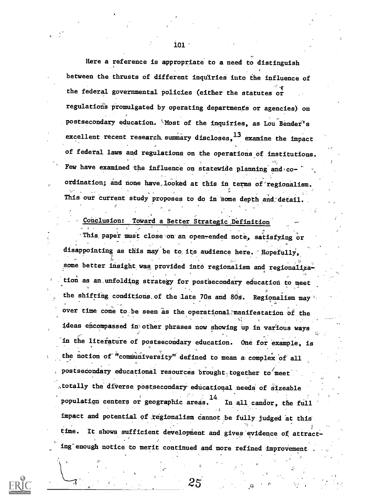Here a reference is appropriate to a need to distinguish between the thrusts of different inquiries into the influence of the federal governmental policies (either the statutes or regulation's promulgated by operating departments or agencies) on postsecondary education. Most of the inquiries, as Lou Bender's excellent recent research summary discloses, <sup>13</sup> examine the impact of federal laws and regulations on the operations of institutions. Few have examined the influence on statewide planning and  $co$ ordination; and none have looked at this in terms of regionalism. . The contract of the contract of the contract of the contract of the contract of the contract of the contract of the contract of the contract of the contract of the contract of the contract of the contract of the contrac This our current study proposes to do in some depth and detail

# Conclusion: Toward a Better Strategic Definition

This paper must close on an open-ended note, satisfying or disappointing as this may be to its audience here. Hopefully, some better insight was provided into regionalism and regionalization as an unfolding strategy for postsecondary education to meet the shifting conditions of the late 70s and 80s. Regionalism may over time come to be seen as the operational manifestation of the ideas encompassed in other phrases now showing up in various ways in the literature of postsecondary education. One for example, is the notion of "communiversity" defined to mean a complex of all postsecondary educational resources brought together to meet , totally the diverse postsecondary educational needs of sizeable population centers or geographic areas.<sup>"</sup> In all candor, the full impact and potential of regionalism cannot be fully judged at this time. It shows sufficient development and gives evidence of attracting enough notice to merit continued and more refined improvement

 $\mathcal{L}$  and  $\mathcal{L}$ 

2.5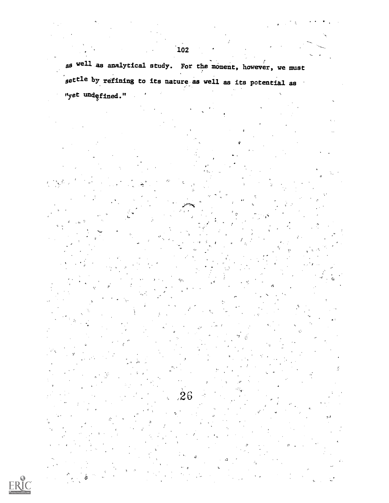as well as analytical study. For the moment, however, we must settle by refining to its nature as well as its potential as "yet undęfined."

 $\stackrel{\text{'}}{2}6$ 

V a

e,

a

ERIC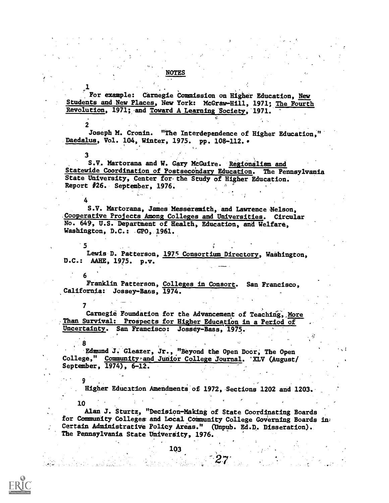For example: Carnegie Commission on Higher Education, New Students and New Places, New York: McGraw-Hill, 1971; The Fourth Revolution, 1971; and Toward A Learning Society, 1971.

NOTES

2 (b. 1919) Joseph M. Cronin. "The Interdependence of Higher Education." Daedalus, Vol. 104, Winter, 1975. pp. 108-112. .

3 S.V, Martorana and W. Gary McGuire. Regionalism and Statewide Coordination of Postsecondary Education. The Pennsylvania State University, Center for the Study of Higher Education.  $\texttt{Report}$  #26. September, 1976.

S.V. Martorana, James Messersmith, and Lawrence Nelson, Cooperative Projects Among Colleges and Universities. Circular No. 649, U.S. Department of Health, Education, and Welfare, Washington, D.C.: GPO, 1961.

 $\bullet$  . The set of the set of the set of the set of the set of the set of the set of the set of the set of the set of the set of the set of the set of the set of the set of the set of the set of the set of the set of the s Lewis D. Patterson, 1975 Consortium Directory, Washington, D.C.: AAHE, 1975. p.v.

Franklin Patterson, Colleges in Consort. San Francisco, California: Jossey-Bans, 1974.

 $\mathbf{r}$ Carnegie Foundation for the Advancement of Teaching, More Than Survival: Prospects for Higher Education in a Period of Uncertainty. San Francisco: Jossey-Bass, 1975.

8 Edmund J. Gleazer, Jr., "Beyond the Open Door; The Open College," Community and Junior College Journal. 'XLV (August/ September, 1974), 6-12.

9 Higher Education Amendments of 1972, Sections 1202 and 1203.

10

 $\mathbf{1}$  and  $\mathbf{1}$ 

4

 $\bullet$  . The set of  $\bullet$ 

Alan J. Sturtz, "Decision-Making of State Coordinating Boards for Community Colleges and Local Community College Governing Boards in: Certain Administrative Policy Areas." (Unpub. Ed.D, Dissetation). The Pennsylvania State University, 1976.